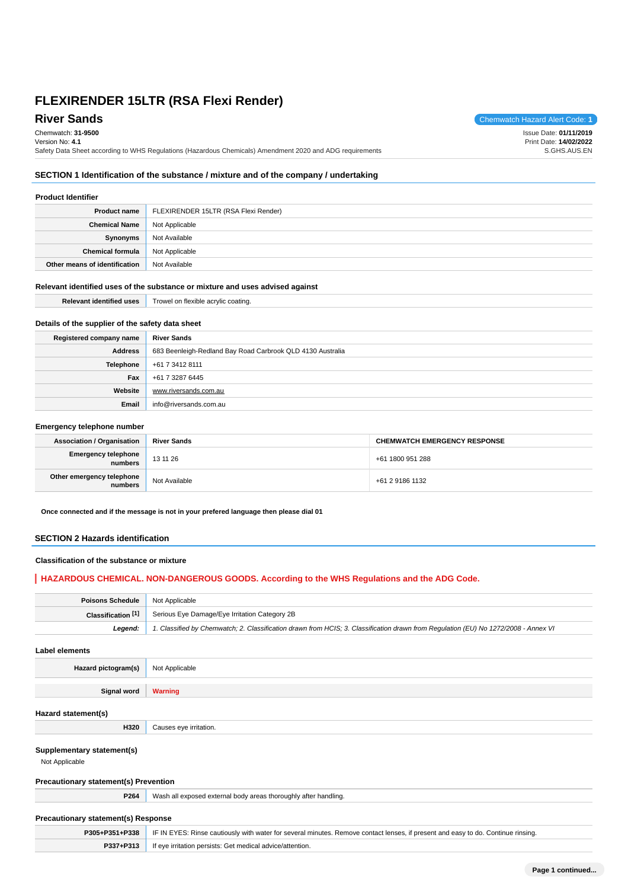**River Sands** Chemwatch Hazard Alert Code: **1** 

Chemwatch: **31-9500**

Version No: **4.1** Safety Data Sheet according to WHS Regulations (Hazardous Chemicals) Amendment 2020 and ADG requirements Issue Date: **01/11/2019** Print Date: **14/02/2022** S.GHS.AUS.EN

## **SECTION 1 Identification of the substance / mixture and of the company / undertaking**

#### **Product Identifier**

| <b>Product name</b>           | FLEXIRENDER 15LTR (RSA Flexi Render) |
|-------------------------------|--------------------------------------|
| <b>Chemical Name</b>          | Not Applicable                       |
| Synonyms                      | Not Available                        |
| <b>Chemical formula</b>       | Not Applicable                       |
| Other means of identification | Not Available                        |

#### **Relevant identified uses of the substance or mixture and uses advised against**

| Polovan,<br>$-01.0001111$ | tlovihlo<br>rowel<br>atina |
|---------------------------|----------------------------|
|                           |                            |

## **Details of the supplier of the safety data sheet**

| Registered company name | <b>River Sands</b>                                         |
|-------------------------|------------------------------------------------------------|
| <b>Address</b>          | 683 Beenleigh-Redland Bay Road Carbrook QLD 4130 Australia |
| Telephone               | +61 7 3412 8111                                            |
| Fax                     | +61 7 3287 6445                                            |
| Website                 | www.riversands.com.au                                      |
| Email                   | info@riversands.com.au                                     |

#### **Emergency telephone number**

| <b>Association / Organisation</b>    | <b>River Sands</b> | <b>CHEMWATCH EMERGENCY RESPONSE</b> |
|--------------------------------------|--------------------|-------------------------------------|
| Emergency telephone<br>numbers       | 13 11 26           | +61 1800 951 288                    |
| Other emergency telephone<br>numbers | Not Available      | +61 2 9186 1132                     |

**Once connected and if the message is not in your prefered language then please dial 01**

## **SECTION 2 Hazards identification**

## **Classification of the substance or mixture**

## **HAZARDOUS CHEMICAL. NON-DANGEROUS GOODS. According to the WHS Regulations and the ADG Code.**

| <b>Poisons Schedule</b> Not Applicable |                                                                                                                                     |
|----------------------------------------|-------------------------------------------------------------------------------------------------------------------------------------|
|                                        | <b>Classification [1]</b> Serious Eye Damage/Eye Irritation Category 2B                                                             |
| Leaend:                                | 1. Classified by Chemwatch; 2. Classification drawn from HCIS; 3. Classification drawn from Requlation (EU) No 1272/2008 - Annex VI |

#### **Label elements**

| Hazard pictogram(s) | Not Applicable |
|---------------------|----------------|
|                     |                |

**Signal word Warning**

#### **Hazard statement(s)**

**Supplementary statement(s)**

Not Applicable

## **Precautionary statement(s) Prevention**

**H320** Causes eye irritation.

**P264** Wash all exposed external body areas thoroughly after handling.

# **Precautionary statement(s) Response**

|           | <b>P305+P351+P338</b>   IF IN EYES: Rinse cautiously with water for several minutes. Remove contact lenses, if present and easy to do. Continue rinsing. |
|-----------|----------------------------------------------------------------------------------------------------------------------------------------------------------|
| P337+P313 | If eye irritation persists: Get medical advice/attention.                                                                                                |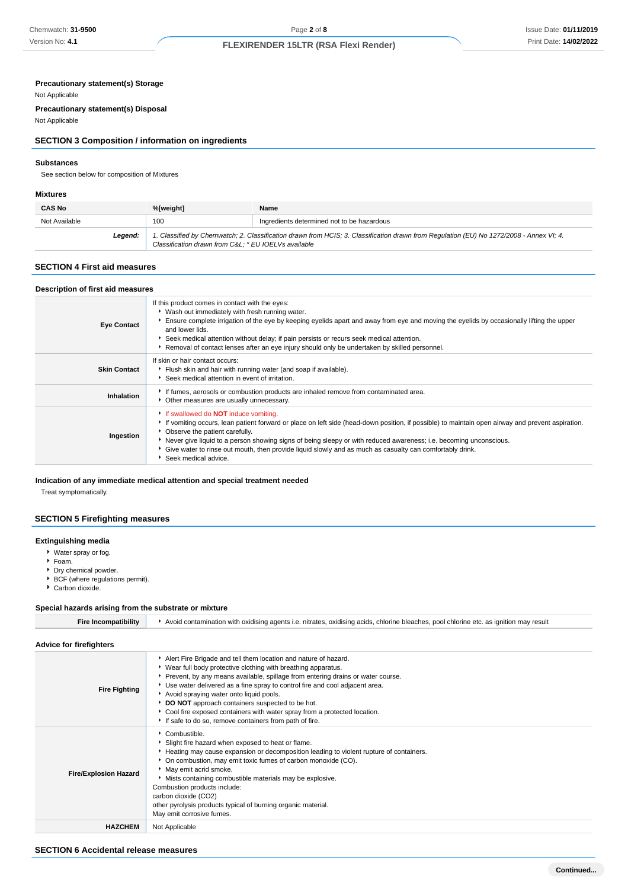## **Precautionary statement(s) Storage**

## Not Applicable

**Precautionary statement(s) Disposal**

Not Applicable

## **SECTION 3 Composition / information on ingredients**

## **Substances**

See section below for composition of Mixtures

#### **Mixtures**

| <b>CAS No</b> | %[weight]                                           | Name                                                                                                                                    |
|---------------|-----------------------------------------------------|-----------------------------------------------------------------------------------------------------------------------------------------|
| Not Available | 100                                                 | Ingredients determined not to be hazardous                                                                                              |
| Legend:       | Classification drawn from C&L * EU IOELVs available | 1. Classified by Chemwatch; 2. Classification drawn from HCIS; 3. Classification drawn from Regulation (EU) No 1272/2008 - Annex VI; 4. |

## **SECTION 4 First aid measures**

| Description of first aid measures |                                                                                                                                                                                                                                                                                                                                                                                                                                                                                                |
|-----------------------------------|------------------------------------------------------------------------------------------------------------------------------------------------------------------------------------------------------------------------------------------------------------------------------------------------------------------------------------------------------------------------------------------------------------------------------------------------------------------------------------------------|
| <b>Eye Contact</b>                | If this product comes in contact with the eyes:<br>▶ Wash out immediately with fresh running water.<br>Ensure complete irrigation of the eye by keeping eyelids apart and away from eye and moving the eyelids by occasionally lifting the upper<br>and lower lids.<br>Seek medical attention without delay; if pain persists or recurs seek medical attention.<br>Removal of contact lenses after an eye injury should only be undertaken by skilled personnel.                               |
| <b>Skin Contact</b>               | If skin or hair contact occurs:<br>Flush skin and hair with running water (and soap if available).<br>Seek medical attention in event of irritation.                                                                                                                                                                                                                                                                                                                                           |
| Inhalation                        | If fumes, aerosols or combustion products are inhaled remove from contaminated area.<br>Other measures are usually unnecessary.                                                                                                                                                                                                                                                                                                                                                                |
| Ingestion                         | If swallowed do <b>NOT</b> induce vomiting.<br>If vomiting occurs, lean patient forward or place on left side (head-down position, if possible) to maintain open airway and prevent aspiration.<br>• Observe the patient carefully.<br>▶ Never give liquid to a person showing signs of being sleepy or with reduced awareness; i.e. becoming unconscious.<br>Give water to rinse out mouth, then provide liquid slowly and as much as casualty can comfortably drink.<br>Seek medical advice. |

## **Indication of any immediate medical attention and special treatment needed**

Treat symptomatically.

## **SECTION 5 Firefighting measures**

## **Extinguishing media**

- Water spray or fog.
- Foam.
- Dry chemical powder.
- BCF (where regulations permit).
- Carbon dioxide.

## **Special hazards arising from the substrate or mixture**

| <b>Fire Incompatibility</b>    | Avoid contamination with oxidising agents i.e. nitrates, oxidising acids, chlorine bleaches, pool chlorine etc. as ignition may result                                                                                                                                                                                                                                                                                                                                                                                                      |
|--------------------------------|---------------------------------------------------------------------------------------------------------------------------------------------------------------------------------------------------------------------------------------------------------------------------------------------------------------------------------------------------------------------------------------------------------------------------------------------------------------------------------------------------------------------------------------------|
| <b>Advice for firefighters</b> |                                                                                                                                                                                                                                                                                                                                                                                                                                                                                                                                             |
| <b>Fire Fighting</b>           | Alert Fire Brigade and tell them location and nature of hazard.<br>▶ Wear full body protective clothing with breathing apparatus.<br>▶ Prevent, by any means available, spillage from entering drains or water course.<br>Use water delivered as a fine spray to control fire and cool adjacent area.<br>Avoid spraying water onto liquid pools.<br>DO NOT approach containers suspected to be hot.<br>▶ Cool fire exposed containers with water spray from a protected location.<br>If safe to do so, remove containers from path of fire. |
| <b>Fire/Explosion Hazard</b>   | Combustible.<br>Slight fire hazard when exposed to heat or flame.<br>Heating may cause expansion or decomposition leading to violent rupture of containers.<br>• On combustion, may emit toxic fumes of carbon monoxide (CO).<br>May emit acrid smoke.<br>Mists containing combustible materials may be explosive.<br>Combustion products include:<br>carbon dioxide (CO2)<br>other pyrolysis products typical of burning organic material.<br>May emit corrosive fumes.                                                                    |
| <b>HAZCHEM</b>                 | Not Applicable                                                                                                                                                                                                                                                                                                                                                                                                                                                                                                                              |

## **SECTION 6 Accidental release measures**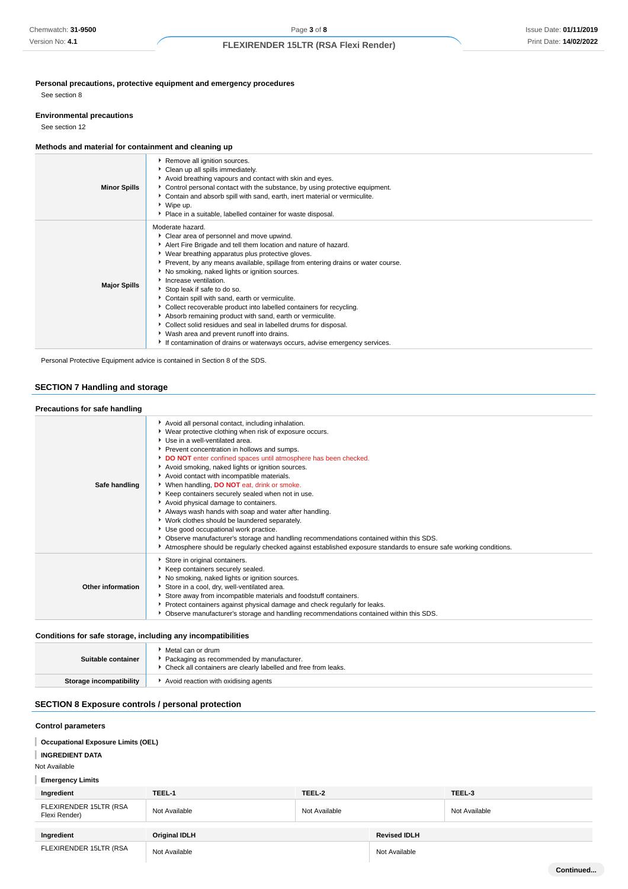**Personal precautions, protective equipment and emergency procedures**

See section 8

#### **Environmental precautions**

See section 12

## **Methods and material for containment and cleaning up**

|                     | Remove all ignition sources.<br>Clean up all spills immediately.<br>Avoid breathing vapours and contact with skin and eyes.                                                                                                                                                                                                                                                                                                                                                                                                                                                                                                                                                                                                                                               |
|---------------------|---------------------------------------------------------------------------------------------------------------------------------------------------------------------------------------------------------------------------------------------------------------------------------------------------------------------------------------------------------------------------------------------------------------------------------------------------------------------------------------------------------------------------------------------------------------------------------------------------------------------------------------------------------------------------------------------------------------------------------------------------------------------------|
| <b>Minor Spills</b> | Control personal contact with the substance, by using protective equipment.<br>• Contain and absorb spill with sand, earth, inert material or vermiculite.<br>▶ Wipe up.<br>Place in a suitable, labelled container for waste disposal.                                                                                                                                                                                                                                                                                                                                                                                                                                                                                                                                   |
| <b>Major Spills</b> | Moderate hazard.<br>Clear area of personnel and move upwind.<br>Alert Fire Brigade and tell them location and nature of hazard.<br>▶ Wear breathing apparatus plus protective gloves.<br>▶ Prevent, by any means available, spillage from entering drains or water course.<br>No smoking, naked lights or ignition sources.<br>Increase ventilation.<br>Stop leak if safe to do so.<br>Contain spill with sand, earth or vermiculite.<br>Collect recoverable product into labelled containers for recycling.<br>Absorb remaining product with sand, earth or vermiculite.<br>Collect solid residues and seal in labelled drums for disposal.<br>▶ Wash area and prevent runoff into drains.<br>If contamination of drains or waterways occurs, advise emergency services. |

Personal Protective Equipment advice is contained in Section 8 of the SDS.

## **SECTION 7 Handling and storage**

## **Precautions for safe handling**

| Safe handling     | Avoid all personal contact, including inhalation.<br>▶ Wear protective clothing when risk of exposure occurs.<br>Use in a well-ventilated area.<br>Prevent concentration in hollows and sumps.<br>DO NOT enter confined spaces until atmosphere has been checked.<br>Avoid smoking, naked lights or ignition sources.<br>Avoid contact with incompatible materials.<br>When handling, DO NOT eat, drink or smoke.<br>Keep containers securely sealed when not in use.<br>Avoid physical damage to containers.<br>Always wash hands with soap and water after handling.<br>▶ Work clothes should be laundered separately.<br>Use good occupational work practice.<br>• Observe manufacturer's storage and handling recommendations contained within this SDS.<br>Atmosphere should be regularly checked against established exposure standards to ensure safe working conditions. |
|-------------------|----------------------------------------------------------------------------------------------------------------------------------------------------------------------------------------------------------------------------------------------------------------------------------------------------------------------------------------------------------------------------------------------------------------------------------------------------------------------------------------------------------------------------------------------------------------------------------------------------------------------------------------------------------------------------------------------------------------------------------------------------------------------------------------------------------------------------------------------------------------------------------|
| Other information | Store in original containers.<br>Keep containers securely sealed.<br>No smoking, naked lights or ignition sources.<br>Store in a cool, dry, well-ventilated area.<br>Store away from incompatible materials and foodstuff containers.<br>Protect containers against physical damage and check regularly for leaks.<br>• Observe manufacturer's storage and handling recommendations contained within this SDS.                                                                                                                                                                                                                                                                                                                                                                                                                                                                   |

## **Conditions for safe storage, including any incompatibilities**

| Suitable container      | Metal can or drum<br>Packaging as recommended by manufacturer.<br>• Check all containers are clearly labelled and free from leaks. |
|-------------------------|------------------------------------------------------------------------------------------------------------------------------------|
| Storage incompatibility | Avoid reaction with oxidising agents                                                                                               |

# **SECTION 8 Exposure controls / personal protection**

#### **Control parameters**

| <b>Occupational Exposure Limits (OEL)</b><br><b>INGREDIENT DATA</b><br>Not Available<br><b>Emergency Limits</b> |                      |               |                     |               |
|-----------------------------------------------------------------------------------------------------------------|----------------------|---------------|---------------------|---------------|
| Ingredient                                                                                                      | TEEL-1               | TEEL-2        |                     | TEEL-3        |
| FLEXIRENDER 15LTR (RSA<br>Flexi Render)                                                                         | Not Available        | Not Available |                     | Not Available |
|                                                                                                                 |                      |               |                     |               |
| Ingredient                                                                                                      | <b>Original IDLH</b> |               | <b>Revised IDLH</b> |               |
| FLEXIRENDER 15LTR (RSA                                                                                          | Not Available        |               | Not Available       |               |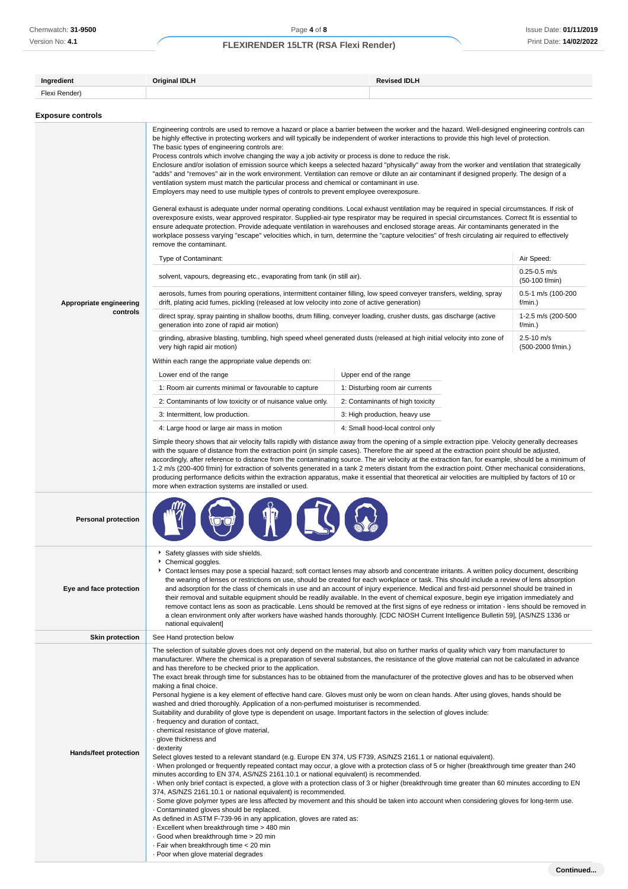Version No: **4.1**

# **FLEXIRENDER 15LTR (RSA Flexi Render)**

| Ingredient                          | <b>Original IDLH</b><br><b>Revised IDLH</b>                                                                                                                                                                                                                                                                                                                                                                                                                                                                                                                                                                                                                                                                                                                                                                                                                                                                                                                                                                                                                                                                                                                                                                                                                                                                                                                                                                                                                                                                                                                                                                                                                                                                                                                                                                                                                                                                                                                   |                                  |                                     |  |
|-------------------------------------|---------------------------------------------------------------------------------------------------------------------------------------------------------------------------------------------------------------------------------------------------------------------------------------------------------------------------------------------------------------------------------------------------------------------------------------------------------------------------------------------------------------------------------------------------------------------------------------------------------------------------------------------------------------------------------------------------------------------------------------------------------------------------------------------------------------------------------------------------------------------------------------------------------------------------------------------------------------------------------------------------------------------------------------------------------------------------------------------------------------------------------------------------------------------------------------------------------------------------------------------------------------------------------------------------------------------------------------------------------------------------------------------------------------------------------------------------------------------------------------------------------------------------------------------------------------------------------------------------------------------------------------------------------------------------------------------------------------------------------------------------------------------------------------------------------------------------------------------------------------------------------------------------------------------------------------------------------------|----------------------------------|-------------------------------------|--|
| Flexi Render)                       |                                                                                                                                                                                                                                                                                                                                                                                                                                                                                                                                                                                                                                                                                                                                                                                                                                                                                                                                                                                                                                                                                                                                                                                                                                                                                                                                                                                                                                                                                                                                                                                                                                                                                                                                                                                                                                                                                                                                                               |                                  |                                     |  |
| <b>Exposure controls</b>            |                                                                                                                                                                                                                                                                                                                                                                                                                                                                                                                                                                                                                                                                                                                                                                                                                                                                                                                                                                                                                                                                                                                                                                                                                                                                                                                                                                                                                                                                                                                                                                                                                                                                                                                                                                                                                                                                                                                                                               |                                  |                                     |  |
|                                     | Engineering controls are used to remove a hazard or place a barrier between the worker and the hazard. Well-designed engineering controls can<br>be highly effective in protecting workers and will typically be independent of worker interactions to provide this high level of protection.<br>The basic types of engineering controls are:<br>Process controls which involve changing the way a job activity or process is done to reduce the risk.<br>Enclosure and/or isolation of emission source which keeps a selected hazard "physically" away from the worker and ventilation that strategically<br>"adds" and "removes" air in the work environment. Ventilation can remove or dilute an air contaminant if designed properly. The design of a<br>ventilation system must match the particular process and chemical or contaminant in use.<br>Employers may need to use multiple types of controls to prevent employee overexposure.<br>General exhaust is adequate under normal operating conditions. Local exhaust ventilation may be required in special circumstances. If risk of<br>overexposure exists, wear approved respirator. Supplied-air type respirator may be required in special circumstances. Correct fit is essential to<br>ensure adequate protection. Provide adequate ventilation in warehouses and enclosed storage areas. Air contaminants generated in the<br>workplace possess varying "escape" velocities which, in turn, determine the "capture velocities" of fresh circulating air required to effectively                                                                                                                                                                                                                                                                                                                                                                                                            |                                  |                                     |  |
|                                     | remove the contaminant.                                                                                                                                                                                                                                                                                                                                                                                                                                                                                                                                                                                                                                                                                                                                                                                                                                                                                                                                                                                                                                                                                                                                                                                                                                                                                                                                                                                                                                                                                                                                                                                                                                                                                                                                                                                                                                                                                                                                       |                                  |                                     |  |
|                                     | Type of Contaminant:                                                                                                                                                                                                                                                                                                                                                                                                                                                                                                                                                                                                                                                                                                                                                                                                                                                                                                                                                                                                                                                                                                                                                                                                                                                                                                                                                                                                                                                                                                                                                                                                                                                                                                                                                                                                                                                                                                                                          |                                  | Air Speed:                          |  |
|                                     | solvent, vapours, degreasing etc., evaporating from tank (in still air).                                                                                                                                                                                                                                                                                                                                                                                                                                                                                                                                                                                                                                                                                                                                                                                                                                                                                                                                                                                                                                                                                                                                                                                                                                                                                                                                                                                                                                                                                                                                                                                                                                                                                                                                                                                                                                                                                      |                                  | $0.25 - 0.5$ m/s<br>(50-100 f/min)  |  |
| Appropriate engineering<br>controls | aerosols, fumes from pouring operations, intermittent container filling, low speed conveyer transfers, welding, spray<br>drift, plating acid fumes, pickling (released at low velocity into zone of active generation)                                                                                                                                                                                                                                                                                                                                                                                                                                                                                                                                                                                                                                                                                                                                                                                                                                                                                                                                                                                                                                                                                                                                                                                                                                                                                                                                                                                                                                                                                                                                                                                                                                                                                                                                        |                                  | 0.5-1 m/s (100-200<br>$f/min.$ )    |  |
|                                     | direct spray, spray painting in shallow booths, drum filling, conveyer loading, crusher dusts, gas discharge (active<br>generation into zone of rapid air motion)                                                                                                                                                                                                                                                                                                                                                                                                                                                                                                                                                                                                                                                                                                                                                                                                                                                                                                                                                                                                                                                                                                                                                                                                                                                                                                                                                                                                                                                                                                                                                                                                                                                                                                                                                                                             |                                  | 1-2.5 m/s (200-500<br>f/min.)       |  |
|                                     | grinding, abrasive blasting, tumbling, high speed wheel generated dusts (released at high initial velocity into zone of<br>very high rapid air motion)                                                                                                                                                                                                                                                                                                                                                                                                                                                                                                                                                                                                                                                                                                                                                                                                                                                                                                                                                                                                                                                                                                                                                                                                                                                                                                                                                                                                                                                                                                                                                                                                                                                                                                                                                                                                        |                                  | $2.5 - 10$ m/s<br>(500-2000 f/min.) |  |
|                                     | Within each range the appropriate value depends on:                                                                                                                                                                                                                                                                                                                                                                                                                                                                                                                                                                                                                                                                                                                                                                                                                                                                                                                                                                                                                                                                                                                                                                                                                                                                                                                                                                                                                                                                                                                                                                                                                                                                                                                                                                                                                                                                                                           |                                  |                                     |  |
|                                     | Lower end of the range                                                                                                                                                                                                                                                                                                                                                                                                                                                                                                                                                                                                                                                                                                                                                                                                                                                                                                                                                                                                                                                                                                                                                                                                                                                                                                                                                                                                                                                                                                                                                                                                                                                                                                                                                                                                                                                                                                                                        | Upper end of the range           |                                     |  |
|                                     | 1: Room air currents minimal or favourable to capture                                                                                                                                                                                                                                                                                                                                                                                                                                                                                                                                                                                                                                                                                                                                                                                                                                                                                                                                                                                                                                                                                                                                                                                                                                                                                                                                                                                                                                                                                                                                                                                                                                                                                                                                                                                                                                                                                                         | 1: Disturbing room air currents  |                                     |  |
|                                     | 2: Contaminants of low toxicity or of nuisance value only.                                                                                                                                                                                                                                                                                                                                                                                                                                                                                                                                                                                                                                                                                                                                                                                                                                                                                                                                                                                                                                                                                                                                                                                                                                                                                                                                                                                                                                                                                                                                                                                                                                                                                                                                                                                                                                                                                                    | 2: Contaminants of high toxicity |                                     |  |
|                                     | 3: Intermittent, low production.                                                                                                                                                                                                                                                                                                                                                                                                                                                                                                                                                                                                                                                                                                                                                                                                                                                                                                                                                                                                                                                                                                                                                                                                                                                                                                                                                                                                                                                                                                                                                                                                                                                                                                                                                                                                                                                                                                                              | 3: High production, heavy use    |                                     |  |
|                                     | 4: Large hood or large air mass in motion                                                                                                                                                                                                                                                                                                                                                                                                                                                                                                                                                                                                                                                                                                                                                                                                                                                                                                                                                                                                                                                                                                                                                                                                                                                                                                                                                                                                                                                                                                                                                                                                                                                                                                                                                                                                                                                                                                                     | 4: Small hood-local control only |                                     |  |
|                                     | accordingly, after reference to distance from the contaminating source. The air velocity at the extraction fan, for example, should be a minimum of<br>1-2 m/s (200-400 f/min) for extraction of solvents generated in a tank 2 meters distant from the extraction point. Other mechanical considerations,<br>producing performance deficits within the extraction apparatus, make it essential that theoretical air velocities are multiplied by factors of 10 or<br>more when extraction systems are installed or used.                                                                                                                                                                                                                                                                                                                                                                                                                                                                                                                                                                                                                                                                                                                                                                                                                                                                                                                                                                                                                                                                                                                                                                                                                                                                                                                                                                                                                                     |                                  |                                     |  |
| <b>Personal protection</b>          |                                                                                                                                                                                                                                                                                                                                                                                                                                                                                                                                                                                                                                                                                                                                                                                                                                                                                                                                                                                                                                                                                                                                                                                                                                                                                                                                                                                                                                                                                                                                                                                                                                                                                                                                                                                                                                                                                                                                                               |                                  |                                     |  |
| Eye and face protection             | Safety glasses with side shields.<br>Chemical goggles.<br>Contact lenses may pose a special hazard; soft contact lenses may absorb and concentrate irritants. A written policy document, describing<br>the wearing of lenses or restrictions on use, should be created for each workplace or task. This should include a review of lens absorption<br>and adsorption for the class of chemicals in use and an account of injury experience. Medical and first-aid personnel should be trained in<br>their removal and suitable equipment should be readily available. In the event of chemical exposure, begin eye irrigation immediately and<br>remove contact lens as soon as practicable. Lens should be removed at the first signs of eye redness or irritation - lens should be removed in<br>a clean environment only after workers have washed hands thoroughly. [CDC NIOSH Current Intelligence Bulletin 59], [AS/NZS 1336 or<br>national equivalent]                                                                                                                                                                                                                                                                                                                                                                                                                                                                                                                                                                                                                                                                                                                                                                                                                                                                                                                                                                                                 |                                  |                                     |  |
| <b>Skin protection</b>              | See Hand protection below                                                                                                                                                                                                                                                                                                                                                                                                                                                                                                                                                                                                                                                                                                                                                                                                                                                                                                                                                                                                                                                                                                                                                                                                                                                                                                                                                                                                                                                                                                                                                                                                                                                                                                                                                                                                                                                                                                                                     |                                  |                                     |  |
| Hands/feet protection               | The selection of suitable gloves does not only depend on the material, but also on further marks of quality which vary from manufacturer to<br>manufacturer. Where the chemical is a preparation of several substances, the resistance of the glove material can not be calculated in advance<br>and has therefore to be checked prior to the application.<br>The exact break through time for substances has to be obtained from the manufacturer of the protective gloves and has to be observed when<br>making a final choice.<br>Personal hygiene is a key element of effective hand care. Gloves must only be worn on clean hands. After using gloves, hands should be<br>washed and dried thoroughly. Application of a non-perfumed moisturiser is recommended.<br>Suitability and durability of glove type is dependent on usage. Important factors in the selection of gloves include:<br>frequency and duration of contact,<br>chemical resistance of glove material,<br>· glove thickness and<br>dexterity -<br>Select gloves tested to a relevant standard (e.g. Europe EN 374, US F739, AS/NZS 2161.1 or national equivalent).<br>When prolonged or frequently repeated contact may occur, a glove with a protection class of 5 or higher (breakthrough time greater than 240<br>minutes according to EN 374, AS/NZS 2161.10.1 or national equivalent) is recommended.<br>When only brief contact is expected, a glove with a protection class of 3 or higher (breakthrough time greater than 60 minutes according to EN<br>374, AS/NZS 2161.10.1 or national equivalent) is recommended.<br>. Some glove polymer types are less affected by movement and this should be taken into account when considering gloves for long-term use.<br>Contaminated gloves should be replaced.<br>As defined in ASTM F-739-96 in any application, gloves are rated as:<br>. Excellent when breakthrough time > 480 min<br>Good when breakthrough time > 20 min |                                  |                                     |  |

· Poor when glove material degrades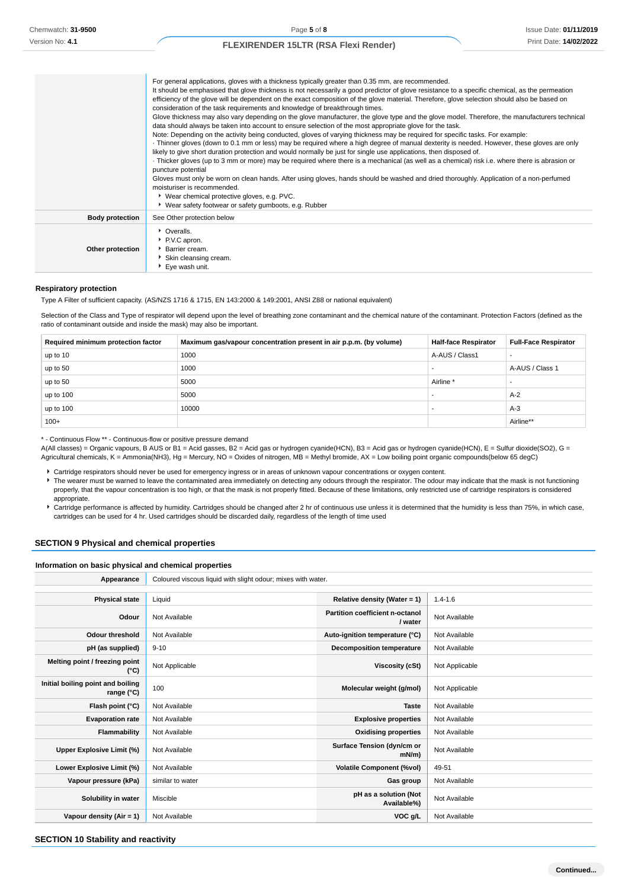Issue Date: **01/11/2019** Print Date: **14/02/2022**

## **FLEXIRENDER 15LTR (RSA Flexi Render)**

|                        | For general applications, gloves with a thickness typically greater than 0.35 mm, are recommended.<br>It should be emphasised that glove thickness is not necessarily a good predictor of glove resistance to a specific chemical, as the permeation<br>efficiency of the glove will be dependent on the exact composition of the glove material. Therefore, glove selection should also be based on<br>consideration of the task requirements and knowledge of breakthrough times.<br>Glove thickness may also vary depending on the glove manufacturer, the glove type and the glove model. Therefore, the manufacturers technical<br>data should always be taken into account to ensure selection of the most appropriate glove for the task.<br>Note: Depending on the activity being conducted, gloves of varying thickness may be required for specific tasks. For example:<br>Thinner gloves (down to 0.1 mm or less) may be required where a high degree of manual dexterity is needed. However, these gloves are only<br>likely to give short duration protection and would normally be just for single use applications, then disposed of.<br>· Thicker gloves (up to 3 mm or more) may be required where there is a mechanical (as well as a chemical) risk i.e. where there is abrasion or<br>puncture potential<br>Gloves must only be worn on clean hands. After using gloves, hands should be washed and dried thoroughly. Application of a non-perfumed<br>moisturiser is recommended.<br>▶ Wear chemical protective gloves, e.g. PVC.<br>▶ Wear safety footwear or safety gumboots, e.g. Rubber |
|------------------------|------------------------------------------------------------------------------------------------------------------------------------------------------------------------------------------------------------------------------------------------------------------------------------------------------------------------------------------------------------------------------------------------------------------------------------------------------------------------------------------------------------------------------------------------------------------------------------------------------------------------------------------------------------------------------------------------------------------------------------------------------------------------------------------------------------------------------------------------------------------------------------------------------------------------------------------------------------------------------------------------------------------------------------------------------------------------------------------------------------------------------------------------------------------------------------------------------------------------------------------------------------------------------------------------------------------------------------------------------------------------------------------------------------------------------------------------------------------------------------------------------------------------------------------------------------------------------------------------------------------|
| <b>Body protection</b> | See Other protection below                                                                                                                                                                                                                                                                                                                                                                                                                                                                                                                                                                                                                                                                                                                                                                                                                                                                                                                                                                                                                                                                                                                                                                                                                                                                                                                                                                                                                                                                                                                                                                                       |
| Other protection       | • Overalls.<br>P.V.C apron.<br><b>Barrier cream.</b><br>Skin cleansing cream.<br>Eye wash unit.                                                                                                                                                                                                                                                                                                                                                                                                                                                                                                                                                                                                                                                                                                                                                                                                                                                                                                                                                                                                                                                                                                                                                                                                                                                                                                                                                                                                                                                                                                                  |

#### **Respiratory protection**

Type A Filter of sufficient capacity. (AS/NZS 1716 & 1715, EN 143:2000 & 149:2001, ANSI Z88 or national equivalent)

Selection of the Class and Type of respirator will depend upon the level of breathing zone contaminant and the chemical nature of the contaminant. Protection Factors (defined as the ratio of contaminant outside and inside the mask) may also be important.

| Required minimum protection factor | Maximum gas/vapour concentration present in air p.p.m. (by volume) | <b>Half-face Respirator</b> | <b>Full-Face Respirator</b> |
|------------------------------------|--------------------------------------------------------------------|-----------------------------|-----------------------------|
| up to 10                           | 1000                                                               | A-AUS / Class1              |                             |
| up to 50                           | 1000                                                               |                             | A-AUS / Class 1             |
| up to 50                           | 5000                                                               | Airline <sup>*</sup>        |                             |
| up to 100                          | 5000                                                               |                             | $A-2$                       |
| up to $100$                        | 10000                                                              |                             | $A-3$                       |
| $100+$                             |                                                                    |                             | Airline**                   |

\* - Continuous Flow \*\* - Continuous-flow or positive pressure demand

A(All classes) = Organic vapours, B AUS or B1 = Acid gasses, B2 = Acid gas or hydrogen cyanide(HCN), B3 = Acid gas or hydrogen cyanide(HCN), E = Sulfur dioxide(SO2), G = Agricultural chemicals, K = Ammonia(NH3), Hg = Mercury, NO = Oxides of nitrogen, MB = Methyl bromide, AX = Low boiling point organic compounds(below 65 degC)

Cartridge respirators should never be used for emergency ingress or in areas of unknown vapour concentrations or oxygen content.

The wearer must be warned to leave the contaminated area immediately on detecting any odours through the respirator. The odour may indicate that the mask is not functioning properly, that the vapour concentration is too high, or that the mask is not properly fitted. Because of these limitations, only restricted use of cartridge respirators is considered appropriate.

▶ Cartridge performance is affected by humidity. Cartridges should be changed after 2 hr of continuous use unless it is determined that the humidity is less than 75%, in which case, cartridges can be used for 4 hr. Used cartridges should be discarded daily, regardless of the length of time used

## **SECTION 9 Physical and chemical properties**

**Information on basic physical and chemical properties**

| Appearance                                      | Coloured viscous liquid with slight odour; mixes with water. |                                            |                |
|-------------------------------------------------|--------------------------------------------------------------|--------------------------------------------|----------------|
|                                                 |                                                              |                                            |                |
| <b>Physical state</b>                           | Liquid                                                       | Relative density (Water = 1)               | $1.4 - 1.6$    |
| Odour                                           | Not Available                                                | Partition coefficient n-octanol<br>/ water | Not Available  |
| Odour threshold                                 | Not Available                                                | Auto-ignition temperature (°C)             | Not Available  |
| pH (as supplied)                                | $9 - 10$                                                     | <b>Decomposition temperature</b>           | Not Available  |
| Melting point / freezing point<br>(°C)          | Not Applicable                                               | Viscosity (cSt)                            | Not Applicable |
| Initial boiling point and boiling<br>range (°C) | 100                                                          | Molecular weight (g/mol)                   | Not Applicable |
| Flash point (°C)                                | Not Available                                                | <b>Taste</b>                               | Not Available  |
| <b>Evaporation rate</b>                         | Not Available                                                | <b>Explosive properties</b>                | Not Available  |
| Flammability                                    | Not Available                                                | <b>Oxidising properties</b>                | Not Available  |
| Upper Explosive Limit (%)                       | Not Available                                                | Surface Tension (dyn/cm or<br>$mN/m$ )     | Not Available  |
| Lower Explosive Limit (%)                       | Not Available                                                | <b>Volatile Component (%vol)</b>           | 49-51          |
| Vapour pressure (kPa)                           | similar to water                                             | Gas group                                  | Not Available  |
| Solubility in water                             | Miscible                                                     | pH as a solution (Not<br>Available%)       | Not Available  |
| Vapour density (Air = 1)                        | Not Available                                                | VOC g/L                                    | Not Available  |

**SECTION 10 Stability and reactivity**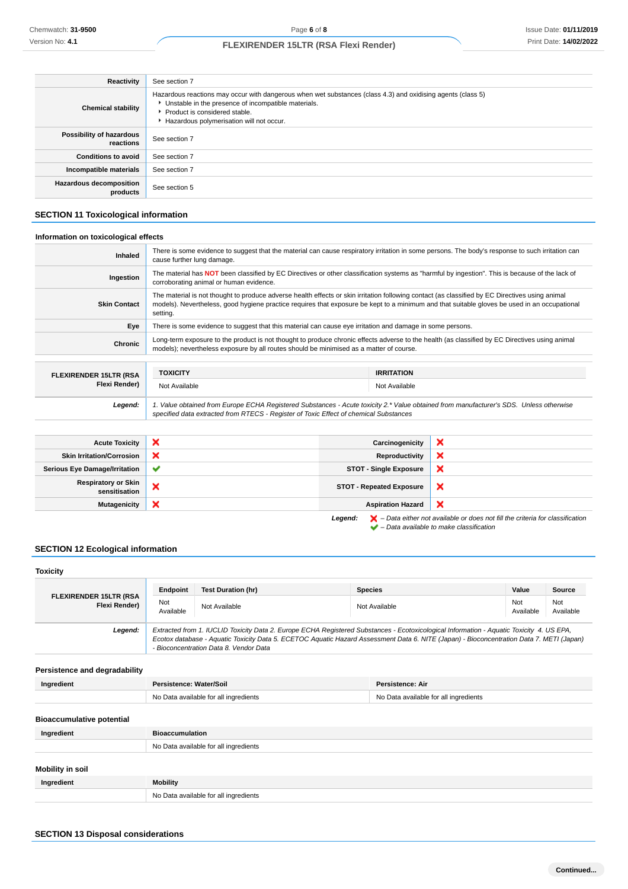| <b>Reactivity</b>                          | See section 7                                                                                                                                                                                                                                     |
|--------------------------------------------|---------------------------------------------------------------------------------------------------------------------------------------------------------------------------------------------------------------------------------------------------|
| <b>Chemical stability</b>                  | Hazardous reactions may occur with dangerous when wet substances (class 4.3) and oxidising agents (class 5)<br>Unstable in the presence of incompatible materials.<br>▶ Product is considered stable.<br>Hazardous polymerisation will not occur. |
| Possibility of hazardous<br>reactions      | See section 7                                                                                                                                                                                                                                     |
| <b>Conditions to avoid</b>                 | See section 7                                                                                                                                                                                                                                     |
| Incompatible materials                     | See section 7                                                                                                                                                                                                                                     |
| <b>Hazardous decomposition</b><br>products | See section 5                                                                                                                                                                                                                                     |

# **SECTION 11 Toxicological information**

# **Information on toxicological effects**

| Inhaled                       | There is some evidence to suggest that the material can cause respiratory irritation in some persons. The body's response to such irritation can<br>cause further lung damage.                                                                                                                              |                   |  |
|-------------------------------|-------------------------------------------------------------------------------------------------------------------------------------------------------------------------------------------------------------------------------------------------------------------------------------------------------------|-------------------|--|
| Ingestion                     | The material has NOT been classified by EC Directives or other classification systems as "harmful by ingestion". This is because of the lack of<br>corroborating animal or human evidence.                                                                                                                  |                   |  |
| <b>Skin Contact</b>           | The material is not thought to produce adverse health effects or skin irritation following contact (as classified by EC Directives using animal<br>models). Nevertheless, good hygiene practice requires that exposure be kept to a minimum and that suitable gloves be used in an occupational<br>setting. |                   |  |
| Eye                           | There is some evidence to suggest that this material can cause eye irritation and damage in some persons.                                                                                                                                                                                                   |                   |  |
| <b>Chronic</b>                | Long-term exposure to the product is not thought to produce chronic effects adverse to the health (as classified by EC Directives using animal<br>models); nevertheless exposure by all routes should be minimised as a matter of course.                                                                   |                   |  |
|                               |                                                                                                                                                                                                                                                                                                             |                   |  |
| <b>FLEXIRENDER 15LTR (RSA</b> | <b>TOXICITY</b>                                                                                                                                                                                                                                                                                             | <b>IRRITATION</b> |  |
| Flexi Render)                 | Not Available                                                                                                                                                                                                                                                                                               | Not Available     |  |
| Legend:                       | 1. Value obtained from Europe ECHA Registered Substances - Acute toxicity 2.* Value obtained from manufacturer's SDS. Unless otherwise<br>specified data extracted from RTECS - Register of Toxic Effect of chemical Substances                                                                             |                   |  |

| <b>Acute Toxicity</b>                       | ×            | Carcinogenicity                 | ×                                                                                                                                                                   |
|---------------------------------------------|--------------|---------------------------------|---------------------------------------------------------------------------------------------------------------------------------------------------------------------|
| <b>Skin Irritation/Corrosion</b>            | ×            | Reproductivity                  | ×                                                                                                                                                                   |
| <b>Serious Eye Damage/Irritation</b>        | $\checkmark$ | <b>STOT - Single Exposure</b>   | ×                                                                                                                                                                   |
| <b>Respiratory or Skin</b><br>sensitisation | ×            | <b>STOT - Repeated Exposure</b> | ×                                                                                                                                                                   |
| <b>Mutagenicity</b>                         | ×            | <b>Aspiration Hazard</b>        | ×                                                                                                                                                                   |
|                                             |              | Legend:                         | $\blacktriangleright$ - Data either not available or does not fill the criteria for classification<br>$\blacktriangleright$ - Data available to make classification |

# **SECTION 12 Ecological information**

| <b>Toxicity</b>                                |                                       |                                                                                                                                                                                                                                                                                                                                |                                       |                  |                  |                  |
|------------------------------------------------|---------------------------------------|--------------------------------------------------------------------------------------------------------------------------------------------------------------------------------------------------------------------------------------------------------------------------------------------------------------------------------|---------------------------------------|------------------|------------------|------------------|
|                                                | Endpoint                              | <b>Test Duration (hr)</b>                                                                                                                                                                                                                                                                                                      | <b>Species</b>                        |                  | Value            | Source           |
| <b>FLEXIRENDER 15LTR (RSA</b><br>Flexi Render) | Not<br>Available                      | Not Available                                                                                                                                                                                                                                                                                                                  |                                       | Not Available    | Not<br>Available | Not<br>Available |
| Legend:                                        |                                       | Extracted from 1. IUCLID Toxicity Data 2. Europe ECHA Registered Substances - Ecotoxicological Information - Aquatic Toxicity 4. US EPA,<br>Ecotox database - Aquatic Toxicity Data 5. ECETOC Aquatic Hazard Assessment Data 6. NITE (Japan) - Bioconcentration Data 7. METI (Japan)<br>- Bioconcentration Data 8. Vendor Data |                                       |                  |                  |                  |
| Persistence and degradability                  |                                       |                                                                                                                                                                                                                                                                                                                                |                                       |                  |                  |                  |
| Ingredient                                     | Persistence: Water/Soil               |                                                                                                                                                                                                                                                                                                                                |                                       | Persistence: Air |                  |                  |
|                                                | No Data available for all ingredients |                                                                                                                                                                                                                                                                                                                                | No Data available for all ingredients |                  |                  |                  |
| <b>Bioaccumulative potential</b>               |                                       |                                                                                                                                                                                                                                                                                                                                |                                       |                  |                  |                  |
| Ingredient                                     | <b>Bioaccumulation</b>                |                                                                                                                                                                                                                                                                                                                                |                                       |                  |                  |                  |
|                                                |                                       | No Data available for all ingredients                                                                                                                                                                                                                                                                                          |                                       |                  |                  |                  |
|                                                |                                       |                                                                                                                                                                                                                                                                                                                                |                                       |                  |                  |                  |
| <b>Mobility in soil</b>                        |                                       |                                                                                                                                                                                                                                                                                                                                |                                       |                  |                  |                  |
| Ingredient                                     | <b>Mobility</b>                       |                                                                                                                                                                                                                                                                                                                                |                                       |                  |                  |                  |
|                                                |                                       | No Data available for all ingredients                                                                                                                                                                                                                                                                                          |                                       |                  |                  |                  |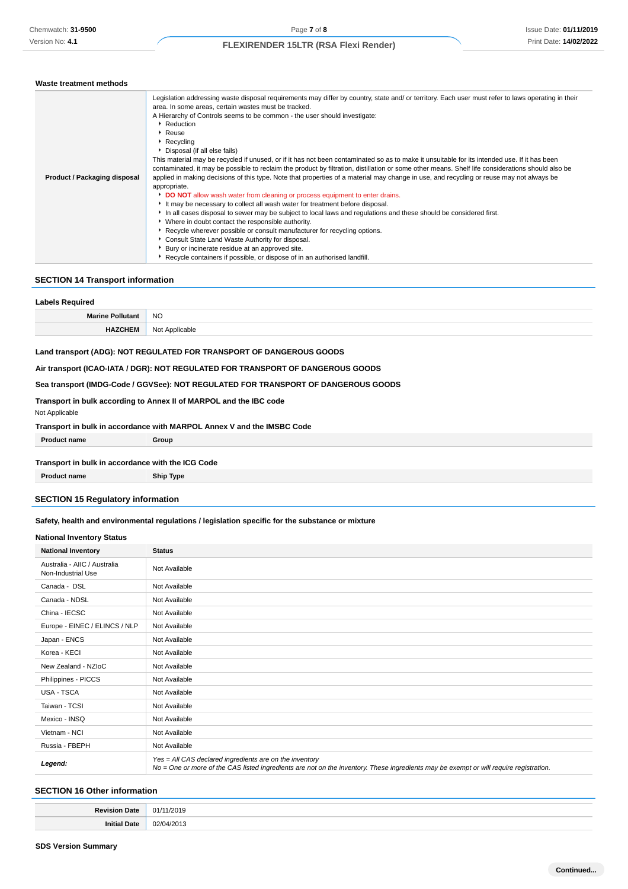#### **Waste treatment methods**

| Product / Packaging disposal | Legislation addressing waste disposal requirements may differ by country, state and/ or territory. Each user must refer to laws operating in their<br>area. In some areas, certain wastes must be tracked.<br>A Hierarchy of Controls seems to be common - the user should investigate:<br>Reduction<br>▶ Reuse<br>▶ Recycling<br>Disposal (if all else fails)<br>This material may be recycled if unused, or if it has not been contaminated so as to make it unsuitable for its intended use. If it has been<br>contaminated, it may be possible to reclaim the product by filtration, distillation or some other means. Shelf life considerations should also be<br>applied in making decisions of this type. Note that properties of a material may change in use, and recycling or reuse may not always be<br>appropriate.<br>DO NOT allow wash water from cleaning or process equipment to enter drains.<br>It may be necessary to collect all wash water for treatment before disposal.<br>In all cases disposal to sewer may be subject to local laws and regulations and these should be considered first.<br>▶ Where in doubt contact the responsible authority.<br>▶ Recycle wherever possible or consult manufacturer for recycling options.<br>Consult State Land Waste Authority for disposal.<br>Bury or incinerate residue at an approved site. |
|------------------------------|-----------------------------------------------------------------------------------------------------------------------------------------------------------------------------------------------------------------------------------------------------------------------------------------------------------------------------------------------------------------------------------------------------------------------------------------------------------------------------------------------------------------------------------------------------------------------------------------------------------------------------------------------------------------------------------------------------------------------------------------------------------------------------------------------------------------------------------------------------------------------------------------------------------------------------------------------------------------------------------------------------------------------------------------------------------------------------------------------------------------------------------------------------------------------------------------------------------------------------------------------------------------------------------------------------------------------------------------------------------------|
|                              | Recycle containers if possible, or dispose of in an authorised landfill.                                                                                                                                                                                                                                                                                                                                                                                                                                                                                                                                                                                                                                                                                                                                                                                                                                                                                                                                                                                                                                                                                                                                                                                                                                                                                        |

## **SECTION 14 Transport information**

| <b>Labels Required</b>  |                |
|-------------------------|----------------|
| <b>Marine Pollutant</b> | <b>NO</b>      |
| <b>HAZCHEM</b>          | Not Applicable |

## **Land transport (ADG): NOT REGULATED FOR TRANSPORT OF DANGEROUS GOODS**

# **Air transport (ICAO-IATA / DGR): NOT REGULATED FOR TRANSPORT OF DANGEROUS GOODS**

#### **Sea transport (IMDG-Code / GGVSee): NOT REGULATED FOR TRANSPORT OF DANGEROUS GOODS**

# **Transport in bulk according to Annex II of MARPOL and the IBC code**

## Not Applicable

| Transport in bulk in accordance with MARPOL Annex V and the IMSBC Code |  |  |
|------------------------------------------------------------------------|--|--|
|------------------------------------------------------------------------|--|--|

**Product name Group**

## **Transport in bulk in accordance with the ICG Code**

**Product name Ship Type**

## **SECTION 15 Regulatory information**

## **Safety, health and environmental regulations / legislation specific for the substance or mixture**

## **National Inventory Status**

| <b>National Inventory</b>                          | <b>Status</b>                                                                                                                                                                                     |
|----------------------------------------------------|---------------------------------------------------------------------------------------------------------------------------------------------------------------------------------------------------|
| Australia - AIIC / Australia<br>Non-Industrial Use | Not Available                                                                                                                                                                                     |
| Canada - DSL                                       | Not Available                                                                                                                                                                                     |
| Canada - NDSL                                      | Not Available                                                                                                                                                                                     |
| China - IECSC                                      | Not Available                                                                                                                                                                                     |
| Europe - EINEC / ELINCS / NLP                      | Not Available                                                                                                                                                                                     |
| Japan - ENCS                                       | Not Available                                                                                                                                                                                     |
| Korea - KECI                                       | Not Available                                                                                                                                                                                     |
| New Zealand - NZIoC                                | Not Available                                                                                                                                                                                     |
| Philippines - PICCS                                | Not Available                                                                                                                                                                                     |
| USA - TSCA                                         | Not Available                                                                                                                                                                                     |
| Taiwan - TCSI                                      | Not Available                                                                                                                                                                                     |
| Mexico - INSQ                                      | Not Available                                                                                                                                                                                     |
| Vietnam - NCI                                      | Not Available                                                                                                                                                                                     |
| Russia - FBEPH                                     | Not Available                                                                                                                                                                                     |
| Legend:                                            | Yes = All CAS declared ingredients are on the inventory<br>No = One or more of the CAS listed ingredients are not on the inventory. These ingredients may be exempt or will require registration. |

## **SECTION 16 Other information**

| з.   |               |
|------|---------------|
| 101L | ,,            |
|      |               |
|      |               |
| . .  | n n<br>`<br>. |